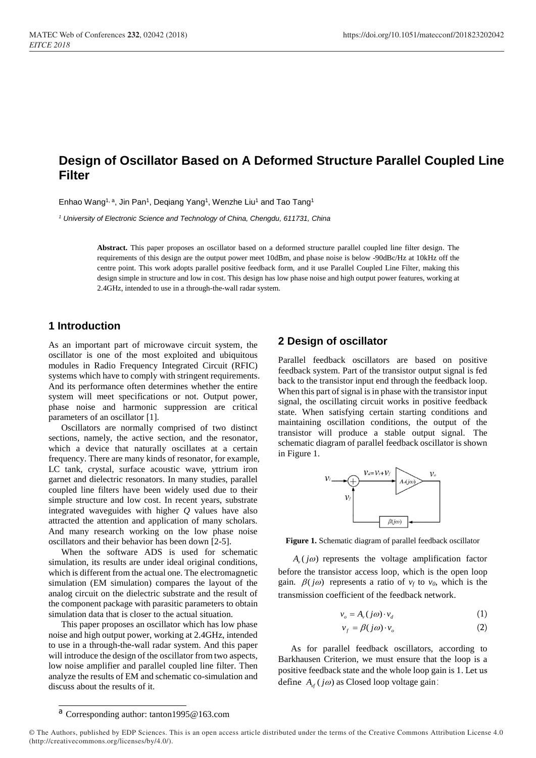# **Design of Oscillator Based on A Deformed Structure Parallel Coupled Line Filter**

Enhao Wang<sup>1, a</sup>, Jin Pan<sup>1</sup>, Deqiang Yang<sup>1</sup>, Wenzhe Liu<sup>1</sup> and Tao Tang<sup>1</sup>

*<sup>1</sup> University of Electronic Science and Technology of China, Chengdu, 611731, China*

**Abstract.** This paper proposes an oscillator based on a deformed structure parallel coupled line filter design. The requirements of this design are the output power meet 10dBm, and phase noise is below -90dBc/Hz at 10kHz off the centre point. This work adopts parallel positive feedback form, and it use Parallel Coupled Line Filter, making this design simple in structure and low in cost. This design has low phase noise and high output power features, working at 2.4GHz, intended to use in a through-the-wall radar system.

### **1 Introduction**

As an important part of microwave circuit system, the oscillator is one of the most exploited and ubiquitous modules in Radio Frequency Integrated Circuit (RFIC) systems which have to comply with stringent requirements. And its performance often determines whether the entire system will meet specifications or not. Output power, phase noise and harmonic suppression are critical parameters of an oscillator [1].

Oscillators are normally comprised of two distinct sections, namely, the active section, and the resonator, which a device that naturally oscillates at a certain frequency. There are many kinds of resonator, for example, LC tank, crystal, surface acoustic wave, yttrium iron garnet and dielectric resonators. In many studies, parallel coupled line filters have been widely used due to their simple structure and low cost. In recent years, substrate integrated waveguides with higher *Q* values have also attracted the attention and application of many scholars. And many research working on the low phase noise oscillators and their behavior has been down [2-5].

When the software ADS is used for schematic simulation, its results are under ideal original conditions, which is different from the actual one. The electromagnetic simulation (EM simulation) compares the layout of the analog circuit on the dielectric substrate and the result of the component package with parasitic parameters to obtain simulation data that is closer to the actual situation.

This paper proposes an oscillator which has low phase noise and high output power, working at 2.4GHz, intended to use in a through-the-wall radar system. And this paper will introduce the design of the oscillator from two aspects, low noise amplifier and parallel coupled line filter. Then analyze the results of EM and schematic co-simulation and discuss about the results of it.

### **2 Design of oscillator**

Parallel feedback oscillators are based on positive feedback system. Part of the transistor output signal is fed back to the transistor input end through the feedback loop. When this part of signal is in phase with the transistor input signal, the oscillating circuit works in positive feedback state. When satisfying certain starting conditions and maintaining oscillation conditions, the output of the transistor will produce a stable output signal. The schematic diagram of parallel feedback oscillator is shown in Figure 1.



**Figure 1.** Schematic diagram of parallel feedback oscillator

 $A_{\nu}( j\omega )$  represents the voltage amplification factor before the transistor access loop, which is the open loop gain.  $\beta(j\omega)$  represents a ratio of  $v_f$  to  $v_0$ , which is the transmission coefficient of the feedback network.

$$
v_o = A_v(j\omega) \cdot v_d \tag{1}
$$

$$
v_f = \beta(j\omega) \cdot v_o \tag{2}
$$

As for parallel feedback oscillators, according to Barkhausen Criterion, we must ensure that the loop is a positive feedback state and the whole loop gain is 1. Let us define  $A_{\nu f} (j\omega)$  as Closed loop voltage gain:

<sup>a</sup> Corresponding author: tanton1995@163.com

<sup>©</sup> The Authors, published by EDP Sciences. This is an open access article distributed under the terms of the Creative Commons Attribution License 4.0 (http://creativecommons.org/licenses/by/4.0/).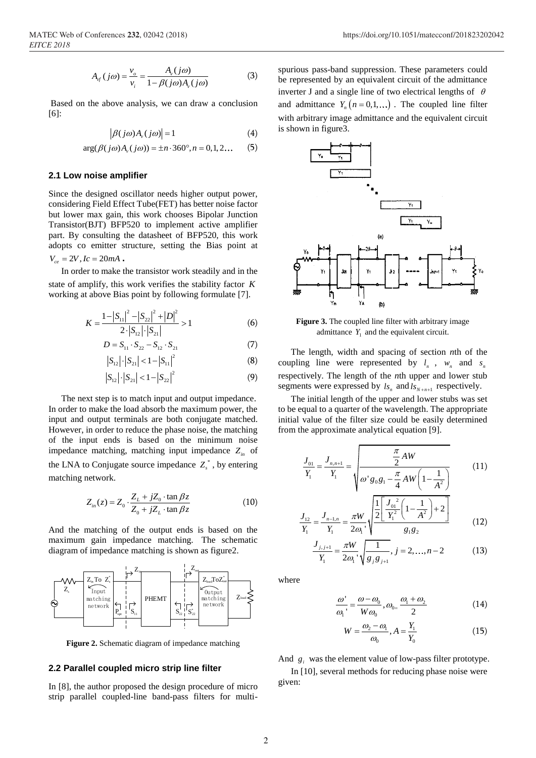$$
A_{\mathcal{J}}(j\omega) = \frac{v_o}{v_i} = \frac{A_{\mathcal{V}}(j\omega)}{1 - \beta(j\omega)A_{\mathcal{V}}(j\omega)}
$$
(3)

Based on the above analysis, we can draw a conclusion [6]:

$$
\left| \beta(j\omega) A_{\nu}(j\omega) \right| = 1 \tag{4}
$$

$$
|\rho(\jmath\omega)A_{\nu}(\jmath\omega)| = 1
$$
\n
$$
\arg(\beta(j\omega)A_{\nu}(j\omega)) = \pm n \cdot 360^{\circ}, n = 0, 1, 2...
$$
\n(5)

#### **2.1 Low noise amplifier**

Since the designed oscillator needs higher output power, considering Field Effect Tube(FET) has better noise factor but lower max gain, this work chooses Bipolar Junction Transistor(BJT) BFP520 to implement active amplifier part. By consulting the datasheet of BFP520, this work adopts co emitter structure, setting the Bias point at  $V_{ce} = 2V, Ic = 20mA$ .

In order to make the transistor work steadily and in the state of amplify, this work verifies the stability factor *K* working at above Bias point by following formulate [7].

$$
K = \frac{1 - |S_{11}|^2 - |S_{22}|^2 + |D|^2}{2 \cdot |S_{12}| \cdot |S_{21}|} > 1
$$
 (6)

$$
D = S_{11} \cdot S_{22} - S_{12} \cdot S_{21} \tag{7}
$$

$$
|S_{12}| \cdot |S_{21}| < 1 - |S_{11}|^2 \tag{8}
$$

$$
\left|S_{12}\right| \cdot \left|S_{21}\right| < 1 - \left|S_{22}\right|^2 \tag{9}
$$

The next step is to match input and output impedance. In order to make the load absorb the maximum power, the input and output terminals are both conjugate matched. However, in order to reduce the phase noise, the matching of the input ends is based on the minimum noise impedance matching, matching input impedance  $Z_{in}$  of the LNA to Conjugate source impedance  $Z_s^*$ , by entering matching network.

$$
Z_{in}(z) = Z_0 \cdot \frac{Z_L + jZ_0 \cdot \tan \beta z}{Z_0 + jZ_L \cdot \tan \beta z}
$$
 (10)

And the matching of the output ends is based on the maximum gain impedance matching. The schematic diagram of impedance matching is shown as figure2.



**Figure 2.** Schematic diagram of impedance matching

#### **2.2 Parallel coupled micro strip line filter**

In [8], the author proposed the design procedure of micro strip parallel coupled-line band-pass filters for multispurious pass-band suppression. These parameters could be represented by an equivalent circuit of the admittance inverter J and a single line of two electrical lengths of  $\theta$ and admittance  $Y_n(n=0,1,...)$ . The coupled line filter with arbitrary image admittance and the equivalent circuit is shown in figure3.



**Figure 3.** The coupled line filter with arbitrary image admittance  $Y_1$  and the equivalent circuit.

The length, width and spacing of section *n*th of the coupling line were represented by  $l_n$ ,  $w_n$  and  $s_n$ respectively. The length of the *n*th upper and lower stub segments were expressed by  $ls_n$  and  $ls_{N+n+1}$  respectively.

The initial length of the upper and lower stubs was set to be equal to a quarter of the wavelength. The appropriate initial value of the filter size could be easily determined from the approximate analytical equation [9].

$$
\frac{J_{01}}{Y_1} = \frac{J_{n,n+1}}{Y_1} = \sqrt{\frac{\frac{\pi}{2}AW}{\omega' g_0 g_1 - \frac{\pi}{4}AW \left(1 - \frac{1}{A^2}\right)}}\tag{11}
$$

$$
\frac{J_{12}}{Y_1} = \frac{J_{n-1,n}}{Y_1} = \frac{\pi W}{2\omega_1} \sqrt{\frac{\frac{1}{2} \left[ \frac{J_{01}^2}{Y_1^2} \left( 1 - \frac{1}{A^2} \right) + 2 \right]}{g_1 g_2}}
$$
(12)

$$
\frac{J_{j,j+1}}{Y_1} = \frac{\pi W}{2\omega_1} \sqrt{\frac{1}{g_j g_{j+1}}}, j = 2,...,n-2
$$
 (13)

where

$$
\frac{\omega'}{\omega_1'} = \frac{\omega - \omega_0}{W\omega_0}, \omega_0 = \frac{\omega_1 + \omega_2}{2}
$$
 (14)

$$
W = \frac{\omega_2 - \omega_1}{\omega_0}, A = \frac{Y_1}{Y_0}
$$
 (15)

And  $g_i$  was the element value of low-pass filter prototype.

In [10], several methods for reducing phase noise were given: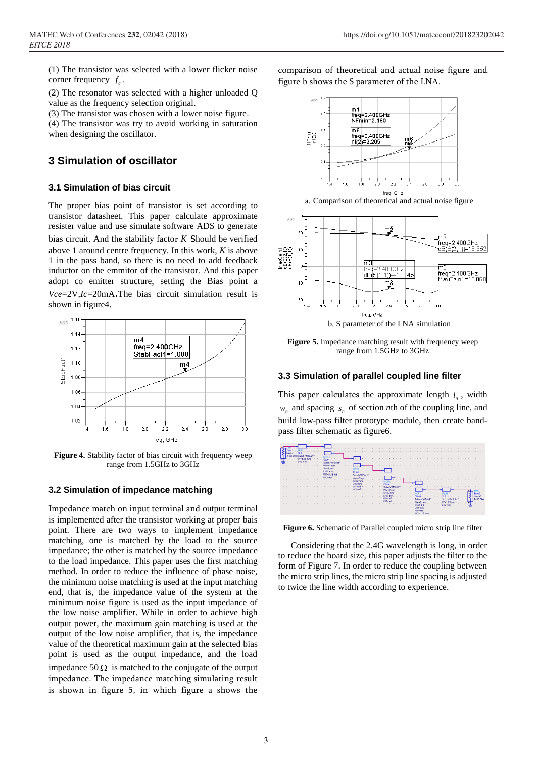(1) The transistor was selected with a lower flicker noise corner frequency  $f_c$ .

(2) The resonator was selected with a higher unloaded Q value as the frequency selection original.

(3) The transistor was chosen with a lower noise figure.

(4) The transistor was try to avoid working in saturation when designing the oscillator.

## **3 Simulation of oscillator**

#### **3.1 Simulation of bias circuit**

The proper bias point of transistor is set according to transistor datasheet. This paper calculate approximate resister value and use simulate software ADS to generate bias circuit. And the stability factor  $K$  **S**hould be verified above 1 around centre frequency. In this work, *K* is above 1 in the pass band, so there is no need to add feedback inductor on the emmitor of the transistor. And this paper adopt co emitter structure, setting the Bias point a *Vce*=2V*,Ic*=20mA.The bias circuit simulation result is shown in figure4.



**Figure 4.** Stability factor of bias circuit with frequency weep range from 1.5GHz to 3GHz

#### **3.2 Simulation of impedance matching**

Impedance match on input terminal and output terminal is implemented after the transistor working at proper bais point. There are two ways to implement impedance matching, one is matched by the load to the source impedance; the other is matched by the source impedance to the load impedance. This paper uses the first matching method. In order to reduce the influence of phase noise, the minimum noise matching is used at the input matching end, that is, the impedance value of the system at the minimum noise figure is used as the input impedance of the low noise amplifier. While in order to achieve high output power, the maximum gain matching is used at the output of the low noise amplifier, that is, the impedance value of the theoretical maximum gain at the selected bias point is used as the output impedance, and the load impedance  $50 \Omega$  is matched to the conjugate of the output impedance. The impedance matching simulating result is shown in figure 5, in which figure a shows the

comparison of theoretical and actual noise figure and figure b shows the S parameter of the LNA.



a. Comparison of theoretical and actual noise figure



**Figure 5.** Impedance matching result with frequency weep range from 1.5GHz to 3GHz

#### **3.3 Simulation of parallel coupled line filter**

This paper calculates the approximate length  $l_n$ , width  $w_n$  and spacing  $s_n$  of section *n*th of the coupling line, and build low-pass filter prototype module, then create bandpass filter schematic as figure6.



**Figure 6.** Schematic of Parallel coupled micro strip line filter

Considering that the 2.4G wavelength is long, in order to reduce the board size, this paper adjusts the filter to the form of Figure 7. In order to reduce the coupling between the micro strip lines, the micro strip line spacing is adjusted to twice the line width according to experience.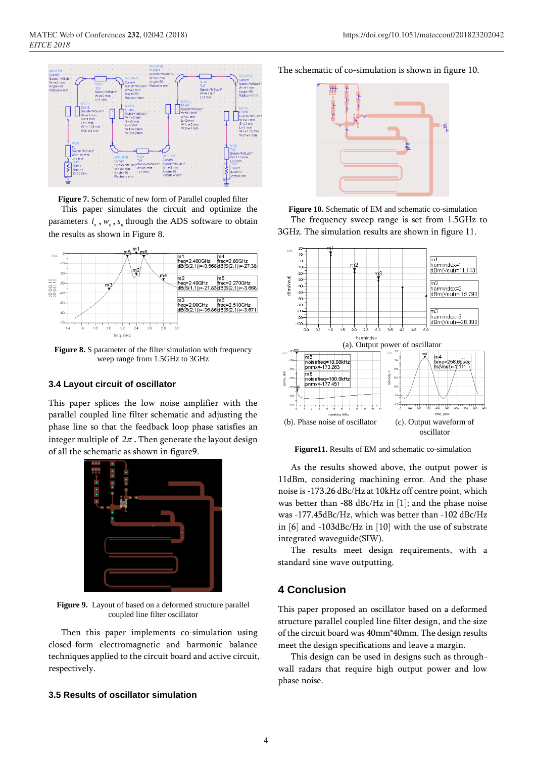

**Figure 7.** Schematic of new form of Parallel coupled filter

This paper simulates the circuit and optimize the parameters  $l_n$ ,  $w_n$ ,  $s_n$  through the ADS software to obtain the results as shown in Figure 8.



Figure 8. S parameter of the filter simulation with frequency weep range from 1.5GHz to 3GHz

#### **3.4 Layout circuit of oscillator**

This paper splices the low noise amplifier with the parallel coupled line filter schematic and adjusting the phase line so that the feedback loop phase satisfies an integer multiple of  $2\pi$  . Then generate the layout design of all the schematic as shown in figure9.



**Figure 9.** Layout of based on a deformed structure parallel coupled line filter oscillator

Then this paper implements co-simulation using closed-form electromagnetic and harmonic balance techniques applied to the circuit board and active circuit, respectively.

#### **3.5 Results of oscillator simulation**

The schematic of co-simulation is shown in figure 10.



**Figure 10.** Schematic of EM and schematic co-simulation The frequency sweep range is set from 1.5GHz to 3GHz. The simulation results are shown in figure 11.



**Figure11.** Results of EM and schematic co-simulation

As the results showed above, the output power is 11dBm, considering machining error. And the phase noise is -173.26 dBc/Hz at 10kHz off centre point, which was better than -88 dBc/Hz in [1]; and the phase noise was -177.45dBc/Hz, which was better than -102 dBc/Hz in [6] and -103dBc/Hz in [10] with the use of substrate integrated waveguide(SIW).

The results meet design requirements, with a standard sine wave outputting.

## **4 Conclusion**

This paper proposed an oscillator based on a deformed structure parallel coupled line filter design, and the size of the circuit board was 40mm\*40mm. The design results meet the design specifications and leave a margin.

This design can be used in designs such as throughwall radars that require high output power and low phase noise.